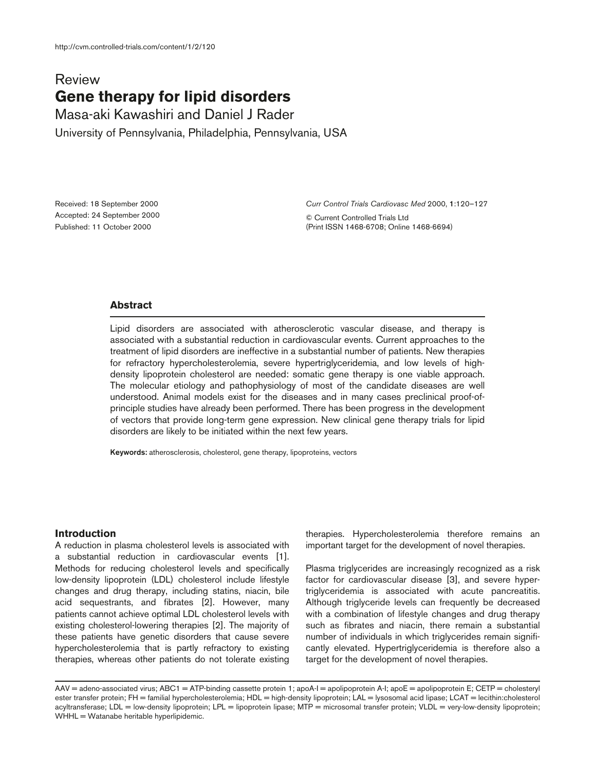# **Review Gene therapy for lipid disorders**

Masa-aki Kawashiri and Daniel J Rader University of Pennsylvania, Philadelphia, Pennsylvania, USA

Received: 18 September 2000 Accepted: 24 September 2000 Published: 11 October 2000

*Curr Control Trials Cardiovasc Med* 2000, **1**:120–127

© Current Controlled Trials Ltd (Print ISSN 1468-6708; Online 1468-6694)

# **Abstract**

Lipid disorders are associated with atherosclerotic vascular disease, and therapy is associated with a substantial reduction in cardiovascular events. Current approaches to the treatment of lipid disorders are ineffective in a substantial number of patients. New therapies for refractory hypercholesterolemia, severe hypertriglyceridemia, and low levels of highdensity lipoprotein cholesterol are needed: somatic gene therapy is one viable approach. The molecular etiology and pathophysiology of most of the candidate diseases are well understood. Animal models exist for the diseases and in many cases preclinical proof-ofprinciple studies have already been performed. There has been progress in the development of vectors that provide long-term gene expression. New clinical gene therapy trials for lipid disorders are likely to be initiated within the next few years.

**Keywords:** atherosclerosis, cholesterol, gene therapy, lipoproteins, vectors

#### **Introduction**

A reduction in plasma cholesterol levels is associated with a substantial reduction in cardiovascular events [1]. Methods for reducing cholesterol levels and specifically low-density lipoprotein (LDL) cholesterol include lifestyle changes and drug therapy, including statins, niacin, bile acid sequestrants, and fibrates [2]. However, many patients cannot achieve optimal LDL cholesterol levels with existing cholesterol-lowering therapies [2]. The majority of these patients have genetic disorders that cause severe hypercholesterolemia that is partly refractory to existing therapies, whereas other patients do not tolerate existing

therapies. Hypercholesterolemia therefore remains an important target for the development of novel therapies.

Plasma triglycerides are increasingly recognized as a risk factor for cardiovascular disease [3], and severe hypertriglyceridemia is associated with acute pancreatitis. Although triglyceride levels can frequently be decreased with a combination of lifestyle changes and drug therapy such as fibrates and niacin, there remain a substantial number of individuals in which triglycerides remain significantly elevated. Hypertriglyceridemia is therefore also a target for the development of novel therapies.

AAV = adeno-associated virus; ABC1 = ATP-binding cassette protein 1; apoA-I = apolipoprotein A-I; apoE = apolipoprotein E; CETP = cholesteryl ester transfer protein; FH = familial hypercholesterolemia; HDL = high-density lipoprotein; LAL = lysosomal acid lipase; LCAT = lecithin:cholesterol acyltransferase; LDL = low-density lipoprotein; LPL = lipoprotein lipase; MTP = microsomal transfer protein; VLDL = very-low-density lipoprotein;  $WHHL = Watanabe heritable hyperlipidemic.$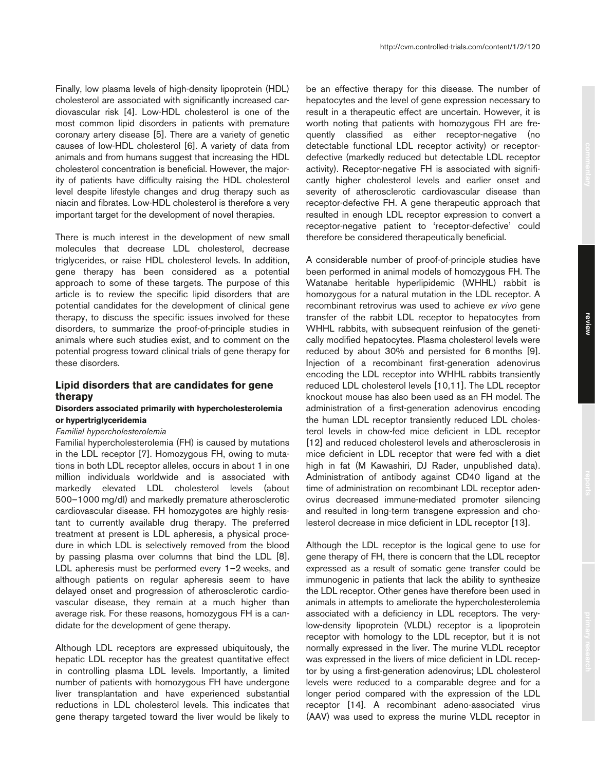Finally, low plasma levels of high-density lipoprotein (HDL) cholesterol are associated with significantly increased cardiovascular risk [4]. Low-HDL cholesterol is one of the most common lipid disorders in patients with premature coronary artery disease [5]. There are a variety of genetic causes of low-HDL cholesterol [6]. A variety of data from animals and from humans suggest that increasing the HDL cholesterol concentration is beneficial. However, the majority of patients have difficulty raising the HDL cholesterol level despite lifestyle changes and drug therapy such as niacin and fibrates. Low-HDL cholesterol is therefore a very important target for the development of novel therapies.

There is much interest in the development of new small molecules that decrease LDL cholesterol, decrease triglycerides, or raise HDL cholesterol levels. In addition, gene therapy has been considered as a potential approach to some of these targets. The purpose of this article is to review the specific lipid disorders that are potential candidates for the development of clinical gene therapy, to discuss the specific issues involved for these disorders, to summarize the proof-of-principle studies in animals where such studies exist, and to comment on the potential progress toward clinical trials of gene therapy for these disorders.

# **Lipid disorders that are candidates for gene therapy**

## **Disorders associated primarily with hypercholesterolemia or hypertriglyceridemia**

#### *Familial hypercholesterolemia*

Familial hypercholesterolemia (FH) is caused by mutations in the LDL receptor [7]. Homozygous FH, owing to mutations in both LDL receptor alleles, occurs in about 1 in one million individuals worldwide and is associated with markedly elevated LDL cholesterol levels (about 500–1000 mg/dl) and markedly premature atherosclerotic cardiovascular disease. FH homozygotes are highly resistant to currently available drug therapy. The preferred treatment at present is LDL apheresis, a physical procedure in which LDL is selectively removed from the blood by passing plasma over columns that bind the LDL [8]. LDL apheresis must be performed every 1–2 weeks, and although patients on regular apheresis seem to have delayed onset and progression of atherosclerotic cardiovascular disease, they remain at a much higher than average risk. For these reasons, homozygous FH is a candidate for the development of gene therapy.

Although LDL receptors are expressed ubiquitously, the hepatic LDL receptor has the greatest quantitative effect in controlling plasma LDL levels. Importantly, a limited number of patients with homozygous FH have undergone liver transplantation and have experienced substantial reductions in LDL cholesterol levels. This indicates that gene therapy targeted toward the liver would be likely to

be an effective therapy for this disease. The number of hepatocytes and the level of gene expression necessary to result in a therapeutic effect are uncertain. However, it is worth noting that patients with homozygous FH are frequently classified as either receptor-negative (no detectable functional LDL receptor activity) or receptordefective (markedly reduced but detectable LDL receptor activity). Receptor-negative FH is associated with significantly higher cholesterol levels and earlier onset and severity of atherosclerotic cardiovascular disease than receptor-defective FH. A gene therapeutic approach that resulted in enough LDL receptor expression to convert a receptor-negative patient to 'receptor-defective' could therefore be considered therapeutically beneficial.

A considerable number of proof-of-principle studies have been performed in animal models of homozygous FH. The Watanabe heritable hyperlipidemic (WHHL) rabbit is homozygous for a natural mutation in the LDL receptor. A recombinant retrovirus was used to achieve *ex vivo* gene transfer of the rabbit LDL receptor to hepatocytes from WHHL rabbits, with subsequent reinfusion of the genetically modified hepatocytes. Plasma cholesterol levels were reduced by about 30% and persisted for 6 months [9]. Injection of a recombinant first-generation adenovirus encoding the LDL receptor into WHHL rabbits transiently reduced LDL cholesterol levels [10,11]. The LDL receptor knockout mouse has also been used as an FH model. The administration of a first-generation adenovirus encoding the human LDL receptor transiently reduced LDL cholesterol levels in chow-fed mice deficient in LDL receptor [12] and reduced cholesterol levels and atherosclerosis in mice deficient in LDL receptor that were fed with a diet high in fat (M Kawashiri, DJ Rader, unpublished data). Administration of antibody against CD40 ligand at the time of administration on recombinant LDL receptor adenovirus decreased immune-mediated promoter silencing and resulted in long-term transgene expression and cholesterol decrease in mice deficient in LDL receptor [13].

Although the LDL receptor is the logical gene to use for gene therapy of FH, there is concern that the LDL receptor expressed as a result of somatic gene transfer could be immunogenic in patients that lack the ability to synthesize the LDL receptor. Other genes have therefore been used in animals in attempts to ameliorate the hypercholesterolemia associated with a deficiency in LDL receptors. The verylow-density lipoprotein (VLDL) receptor is a lipoprotein receptor with homology to the LDL receptor, but it is not normally expressed in the liver. The murine VLDL receptor was expressed in the livers of mice deficient in LDL receptor by using a first-generation adenovirus; LDL cholesterol levels were reduced to a comparable degree and for a longer period compared with the expression of the LDL receptor [14]. A recombinant adeno-associated virus (AAV) was used to express the murine VLDL receptor in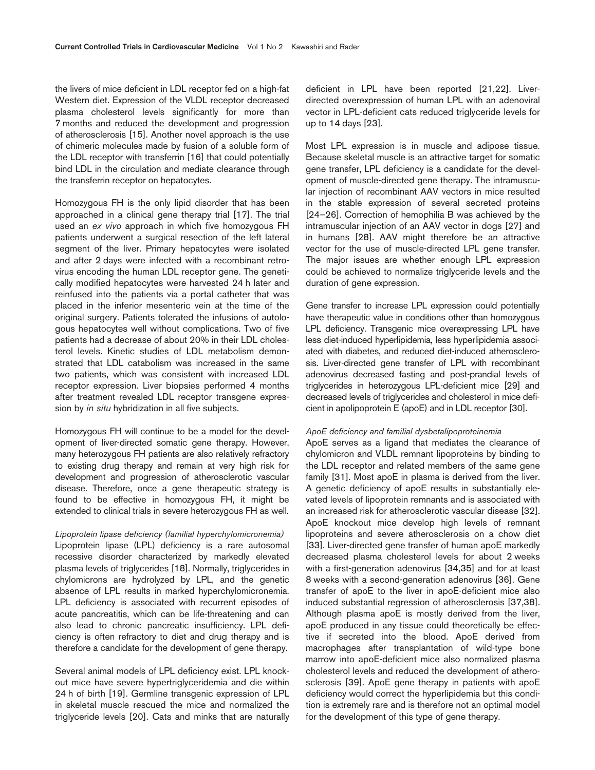the livers of mice deficient in LDL receptor fed on a high-fat Western diet. Expression of the VLDL receptor decreased plasma cholesterol levels significantly for more than 7 months and reduced the development and progression of atherosclerosis [15]. Another novel approach is the use of chimeric molecules made by fusion of a soluble form of the LDL receptor with transferrin [16] that could potentially bind LDL in the circulation and mediate clearance through the transferrin receptor on hepatocytes.

Homozygous FH is the only lipid disorder that has been approached in a clinical gene therapy trial [17]. The trial used an *ex vivo* approach in which five homozygous FH patients underwent a surgical resection of the left lateral segment of the liver. Primary hepatocytes were isolated and after 2 days were infected with a recombinant retrovirus encoding the human LDL receptor gene. The genetically modified hepatocytes were harvested 24 h later and reinfused into the patients via a portal catheter that was placed in the inferior mesenteric vein at the time of the original surgery. Patients tolerated the infusions of autologous hepatocytes well without complications. Two of five patients had a decrease of about 20% in their LDL cholesterol levels. Kinetic studies of LDL metabolism demonstrated that LDL catabolism was increased in the same two patients, which was consistent with increased LDL receptor expression. Liver biopsies performed 4 months after treatment revealed LDL receptor transgene expression by *in situ* hybridization in all five subjects.

Homozygous FH will continue to be a model for the development of liver-directed somatic gene therapy. However, many heterozygous FH patients are also relatively refractory to existing drug therapy and remain at very high risk for development and progression of atherosclerotic vascular disease. Therefore, once a gene therapeutic strategy is found to be effective in homozygous FH, it might be extended to clinical trials in severe heterozygous FH as well.

## *Lipoprotein lipase deficiency (familial hyperchylomicronemia)*

Lipoprotein lipase (LPL) deficiency is a rare autosomal recessive disorder characterized by markedly elevated plasma levels of triglycerides [18]. Normally, triglycerides in chylomicrons are hydrolyzed by LPL, and the genetic absence of LPL results in marked hyperchylomicronemia. LPL deficiency is associated with recurrent episodes of acute pancreatitis, which can be life-threatening and can also lead to chronic pancreatic insufficiency. LPL deficiency is often refractory to diet and drug therapy and is therefore a candidate for the development of gene therapy.

Several animal models of LPL deficiency exist. LPL knockout mice have severe hypertriglyceridemia and die within 24 h of birth [19]. Germline transgenic expression of LPL in skeletal muscle rescued the mice and normalized the triglyceride levels [20]. Cats and minks that are naturally deficient in LPL have been reported [21,22]. Liverdirected overexpression of human LPL with an adenoviral vector in LPL-deficient cats reduced triglyceride levels for up to 14 days [23].

Most LPL expression is in muscle and adipose tissue. Because skeletal muscle is an attractive target for somatic gene transfer, LPL deficiency is a candidate for the development of muscle-directed gene therapy. The intramuscular injection of recombinant AAV vectors in mice resulted in the stable expression of several secreted proteins [24–26]. Correction of hemophilia B was achieved by the intramuscular injection of an AAV vector in dogs [27] and in humans [28]. AAV might therefore be an attractive vector for the use of muscle-directed LPL gene transfer. The major issues are whether enough LPL expression could be achieved to normalize triglyceride levels and the duration of gene expression.

Gene transfer to increase LPL expression could potentially have therapeutic value in conditions other than homozygous LPL deficiency. Transgenic mice overexpressing LPL have less diet-induced hyperlipidemia, less hyperlipidemia associated with diabetes, and reduced diet-induced atherosclerosis. Liver-directed gene transfer of LPL with recombinant adenovirus decreased fasting and post-prandial levels of triglycerides in heterozygous LPL-deficient mice [29] and decreased levels of triglycerides and cholesterol in mice deficient in apolipoprotein E (apoE) and in LDL receptor [30].

## *ApoE deficiency and familial dysbetalipoproteinemia*

ApoE serves as a ligand that mediates the clearance of chylomicron and VLDL remnant lipoproteins by binding to the LDL receptor and related members of the same gene family [31]. Most apoE in plasma is derived from the liver. A genetic deficiency of apoE results in substantially elevated levels of lipoprotein remnants and is associated with an increased risk for atherosclerotic vascular disease [32]. ApoE knockout mice develop high levels of remnant lipoproteins and severe atherosclerosis on a chow diet [33]. Liver-directed gene transfer of human apoE markedly decreased plasma cholesterol levels for about 2 weeks with a first-generation adenovirus [34,35] and for at least 8 weeks with a second-generation adenovirus [36]. Gene transfer of apoE to the liver in apoE-deficient mice also induced substantial regression of atherosclerosis [37,38]. Although plasma apoE is mostly derived from the liver, apoE produced in any tissue could theoretically be effective if secreted into the blood. ApoE derived from macrophages after transplantation of wild-type bone marrow into apoE-deficient mice also normalized plasma cholesterol levels and reduced the development of atherosclerosis [39]. ApoE gene therapy in patients with apoE deficiency would correct the hyperlipidemia but this condition is extremely rare and is therefore not an optimal model for the development of this type of gene therapy.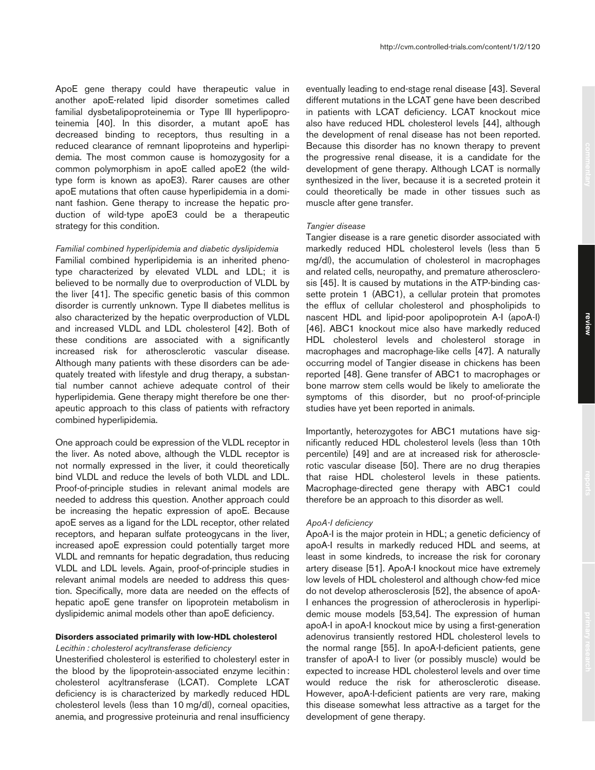ApoE gene therapy could have therapeutic value in another apoE-related lipid disorder sometimes called familial dysbetalipoproteinemia or Type III hyperlipoproteinemia [40]. In this disorder, a mutant apoE has decreased binding to receptors, thus resulting in a reduced clearance of remnant lipoproteins and hyperlipidemia. The most common cause is homozygosity for a common polymorphism in apoE called apoE2 (the wildtype form is known as apoE3). Rarer causes are other apoE mutations that often cause hyperlipidemia in a dominant fashion. Gene therapy to increase the hepatic production of wild-type apoE3 could be a therapeutic strategy for this condition.

## *Familial combined hyperlipidemia and diabetic dyslipidemia*

Familial combined hyperlipidemia is an inherited phenotype characterized by elevated VLDL and LDL; it is believed to be normally due to overproduction of VLDL by the liver [41]. The specific genetic basis of this common disorder is currently unknown. Type II diabetes mellitus is also characterized by the hepatic overproduction of VLDL and increased VLDL and LDL cholesterol [42]. Both of these conditions are associated with a significantly increased risk for atherosclerotic vascular disease. Although many patients with these disorders can be adequately treated with lifestyle and drug therapy, a substantial number cannot achieve adequate control of their hyperlipidemia. Gene therapy might therefore be one therapeutic approach to this class of patients with refractory combined hyperlipidemia.

One approach could be expression of the VLDL receptor in the liver. As noted above, although the VLDL receptor is not normally expressed in the liver, it could theoretically bind VLDL and reduce the levels of both VLDL and LDL. Proof-of-principle studies in relevant animal models are needed to address this question. Another approach could be increasing the hepatic expression of apoE. Because apoE serves as a ligand for the LDL receptor, other related receptors, and heparan sulfate proteogycans in the liver, increased apoE expression could potentially target more VLDL and remnants for hepatic degradation, thus reducing VLDL and LDL levels. Again, proof-of-principle studies in relevant animal models are needed to address this question. Specifically, more data are needed on the effects of hepatic apoE gene transfer on lipoprotein metabolism in dyslipidemic animal models other than apoE deficiency.

# **Disorders associated primarily with low-HDL cholesterol** *Lecithin : cholesterol acyltransferase deficiency*

Unesterified cholesterol is esterified to cholesteryl ester in the blood by the lipoprotein-associated enzyme lecithin : cholesterol acyltransferase (LCAT). Complete LCAT deficiency is is characterized by markedly reduced HDL cholesterol levels (less than 10 mg/dl), corneal opacities,

anemia, and progressive proteinuria and renal insufficiency

eventually leading to end-stage renal disease [43]. Several different mutations in the LCAT gene have been described in patients with LCAT deficiency. LCAT knockout mice also have reduced HDL cholesterol levels [44], although the development of renal disease has not been reported. Because this disorder has no known therapy to prevent the progressive renal disease, it is a candidate for the development of gene therapy. Although LCAT is normally synthesized in the liver, because it is a secreted protein it could theoretically be made in other tissues such as muscle after gene transfer.

## *Tangier disease*

Tangier disease is a rare genetic disorder associated with markedly reduced HDL cholesterol levels (less than 5 mg/dl), the accumulation of cholesterol in macrophages and related cells, neuropathy, and premature atherosclerosis [45]. It is caused by mutations in the ATP-binding cassette protein 1 (ABC1), a cellular protein that promotes the efflux of cellular cholesterol and phospholipids to nascent HDL and lipid-poor apolipoprotein A-I (apoA-I) [46]. ABC1 knockout mice also have markedly reduced HDL cholesterol levels and cholesterol storage in macrophages and macrophage-like cells [47]. A naturally occurring model of Tangier disease in chickens has been reported [48]. Gene transfer of ABC1 to macrophages or bone marrow stem cells would be likely to ameliorate the symptoms of this disorder, but no proof-of-principle studies have yet been reported in animals.

Importantly, heterozygotes for ABC1 mutations have significantly reduced HDL cholesterol levels (less than 10th percentile) [49] and are at increased risk for atherosclerotic vascular disease [50]. There are no drug therapies that raise HDL cholesterol levels in these patients. Macrophage-directed gene therapy with ABC1 could therefore be an approach to this disorder as well.

#### *ApoA-I deficiency*

ApoA-I is the major protein in HDL; a genetic deficiency of apoA-I results in markedly reduced HDL and seems, at least in some kindreds, to increase the risk for coronary artery disease [51]. ApoA-I knockout mice have extremely low levels of HDL cholesterol and although chow-fed mice do not develop atherosclerosis [52], the absence of apoA-I enhances the progression of atheroclerosis in hyperlipidemic mouse models [53,54]. The expression of human apoA-I in apoA-I knockout mice by using a first-generation adenovirus transiently restored HDL cholesterol levels to the normal range [55]. In apoA-I-deficient patients, gene transfer of apoA-I to liver (or possibly muscle) would be expected to increase HDL cholesterol levels and over time would reduce the risk for atherosclerotic disease. However, apoA-I-deficient patients are very rare, making this disease somewhat less attractive as a target for the development of gene therapy.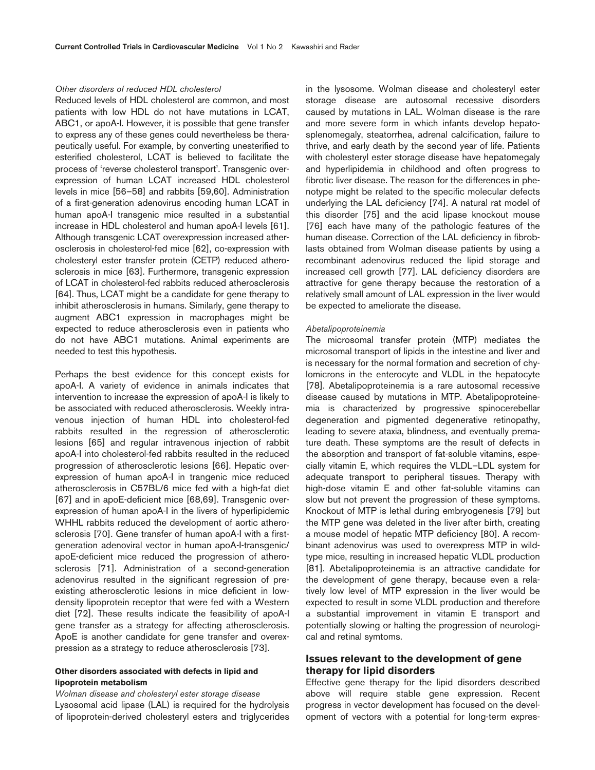#### *Other disorders of reduced HDL cholesterol*

Reduced levels of HDL cholesterol are common, and most patients with low HDL do not have mutations in LCAT, ABC1, or apoA-I. However, it is possible that gene transfer to express any of these genes could nevertheless be therapeutically useful. For example, by converting unesterified to esterified cholesterol, LCAT is believed to facilitate the process of 'reverse cholesterol transport'. Transgenic overexpression of human LCAT increased HDL cholesterol levels in mice [56–58] and rabbits [59,60]. Administration of a first-generation adenovirus encoding human LCAT in human apoA-I transgenic mice resulted in a substantial increase in HDL cholesterol and human apoA-I levels [61]. Although transgenic LCAT overexpression increased atherosclerosis in cholesterol-fed mice [62], co-expression with cholesteryl ester transfer protein (CETP) reduced atherosclerosis in mice [63]. Furthermore, transgenic expression of LCAT in cholesterol-fed rabbits reduced atherosclerosis [64]. Thus, LCAT might be a candidate for gene therapy to inhibit atherosclerosis in humans. Similarly, gene therapy to augment ABC1 expression in macrophages might be expected to reduce atherosclerosis even in patients who do not have ABC1 mutations. Animal experiments are needed to test this hypothesis.

Perhaps the best evidence for this concept exists for apoA-I. A variety of evidence in animals indicates that intervention to increase the expression of apoA-I is likely to be associated with reduced atherosclerosis. Weekly intravenous injection of human HDL into cholesterol-fed rabbits resulted in the regression of atherosclerotic lesions [65] and regular intravenous injection of rabbit apoA-I into cholesterol-fed rabbits resulted in the reduced progression of atherosclerotic lesions [66]. Hepatic overexpression of human apoA-I in trangenic mice reduced atherosclerosis in C57BL/6 mice fed with a high-fat diet [67] and in apoE-deficient mice [68,69]. Transgenic overexpression of human apoA-I in the livers of hyperlipidemic WHHL rabbits reduced the development of aortic atherosclerosis [70]. Gene transfer of human apoA-I with a firstgeneration adenoviral vector in human apoA-I-transgenic/ apoE-deficient mice reduced the progression of atherosclerosis [71]. Administration of a second-generation adenovirus resulted in the significant regression of preexisting atherosclerotic lesions in mice deficient in lowdensity lipoprotein receptor that were fed with a Western diet [72]. These results indicate the feasibility of apoA-I gene transfer as a strategy for affecting atherosclerosis. ApoE is another candidate for gene transfer and overexpression as a strategy to reduce atherosclerosis [73].

# **Other disorders associated with defects in lipid and lipoprotein metabolism**

*Wolman disease and cholesteryl ester storage disease* Lysosomal acid lipase (LAL) is required for the hydrolysis of lipoprotein-derived cholesteryl esters and triglycerides in the lysosome. Wolman disease and cholesteryl ester storage disease are autosomal recessive disorders caused by mutations in LAL. Wolman disease is the rare and more severe form in which infants develop hepatosplenomegaly, steatorrhea, adrenal calcification, failure to thrive, and early death by the second year of life. Patients with cholesteryl ester storage disease have hepatomegaly and hyperlipidemia in childhood and often progress to fibrotic liver disease. The reason for the differences in phenotype might be related to the specific molecular defects underlying the LAL deficiency [74]. A natural rat model of this disorder [75] and the acid lipase knockout mouse [76] each have many of the pathologic features of the human disease. Correction of the LAL deficiency in fibroblasts obtained from Wolman disease patients by using a recombinant adenovirus reduced the lipid storage and increased cell growth [77]. LAL deficiency disorders are attractive for gene therapy because the restoration of a relatively small amount of LAL expression in the liver would be expected to ameliorate the disease.

#### *Abetalipoproteinemia*

The microsomal transfer protein (MTP) mediates the microsomal transport of lipids in the intestine and liver and is necessary for the normal formation and secretion of chylomicrons in the enterocyte and VLDL in the hepatocyte [78]. Abetalipoproteinemia is a rare autosomal recessive disease caused by mutations in MTP. Abetalipoproteinemia is characterized by progressive spinocerebellar degeneration and pigmented degenerative retinopathy, leading to severe ataxia, blindness, and eventually premature death. These symptoms are the result of defects in the absorption and transport of fat-soluble vitamins, especially vitamin E, which requires the VLDL–LDL system for adequate transport to peripheral tissues. Therapy with high-dose vitamin E and other fat-soluble vitamins can slow but not prevent the progression of these symptoms. Knockout of MTP is lethal during embryogenesis [79] but the MTP gene was deleted in the liver after birth, creating a mouse model of hepatic MTP deficiency [80]. A recombinant adenovirus was used to overexpress MTP in wildtype mice, resulting in increased hepatic VLDL production [81]. Abetalipoproteinemia is an attractive candidate for the development of gene therapy, because even a relatively low level of MTP expression in the liver would be expected to result in some VLDL production and therefore a substantial improvement in vitamin E transport and potentially slowing or halting the progression of neurological and retinal symtoms.

# **Issues relevant to the development of gene therapy for lipid disorders**

Effective gene therapy for the lipid disorders described above will require stable gene expression. Recent progress in vector development has focused on the development of vectors with a potential for long-term expres-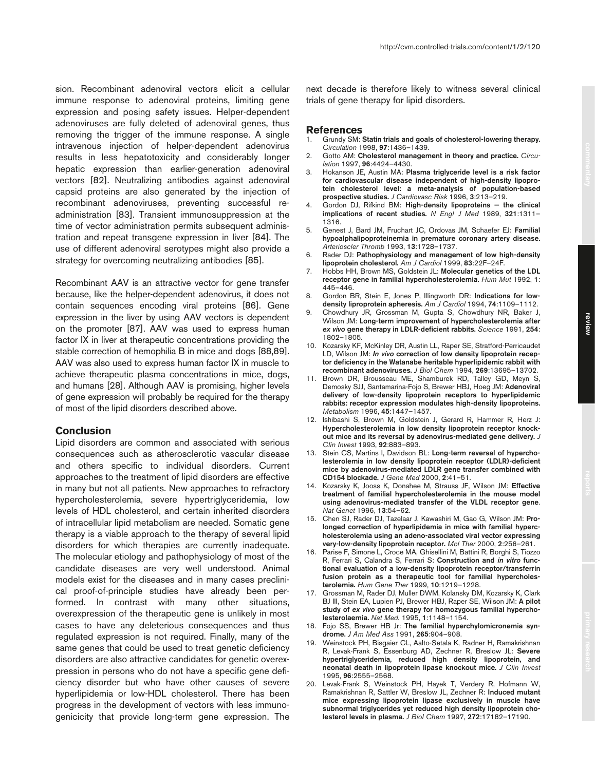sion. Recombinant adenoviral vectors elicit a cellular immune response to adenoviral proteins, limiting gene expression and posing safety issues. Helper-dependent adenoviruses are fully deleted of adenoviral genes, thus removing the trigger of the immune response. A single intravenous injection of helper-dependent adenovirus results in less hepatotoxicity and considerably longer hepatic expression than earlier-generation adenoviral vectors [82]. Neutralizing antibodies against adenoviral capsid proteins are also generated by the injection of recombinant adenoviruses, preventing successful readministration [83]. Transient immunosuppression at the time of vector administration permits subsequent administration and repeat transgene expression in liver [84]. The use of different adenoviral serotypes might also provide a strategy for overcoming neutralizing antibodies [85].

Recombinant AAV is an attractive vector for gene transfer because, like the helper-dependent adenovirus, it does not contain sequences encoding viral proteins [86]. Gene expression in the liver by using AAV vectors is dependent on the promoter [87]. AAV was used to express human factor IX in liver at therapeutic concentrations providing the stable correction of hemophilia B in mice and dogs [88,89]. AAV was also used to express human factor IX in muscle to achieve therapeutic plasma concentrations in mice, dogs, and humans [28]. Although AAV is promising, higher levels of gene expression will probably be required for the therapy of most of the lipid disorders described above.

# **Conclusion**

Lipid disorders are common and associated with serious consequences such as atherosclerotic vascular disease and others specific to individual disorders. Current approaches to the treatment of lipid disorders are effective in many but not all patients. New approaches to refractory hypercholesterolemia, severe hypertriglyceridemia, low levels of HDL cholesterol, and certain inherited disorders of intracellular lipid metabolism are needed. Somatic gene therapy is a viable approach to the therapy of several lipid disorders for which therapies are currently inadequate. The molecular etiology and pathophysiology of most of the candidate diseases are very well understood. Animal models exist for the diseases and in many cases preclinical proof-of-principle studies have already been performed. In contrast with many other situations, overexpression of the therapeutic gene is unlikely in most cases to have any deleterious consequences and thus regulated expression is not required. Finally, many of the same genes that could be used to treat genetic deficiency disorders are also attractive candidates for genetic overexpression in persons who do not have a specific gene deficiency disorder but who have other causes of severe hyperlipidemia or low-HDL cholesterol. There has been progress in the development of vectors with less immunogenicicity that provide long-term gene expression. The

next decade is therefore likely to witness several clinical

## **References**

1. Grundy SM: **Statin trials and goals of cholesterol-lowering therapy.** *Circulation* 1998, **97**:1436–1439.

trials of gene therapy for lipid disorders.

- 2. Gotto AM: **Cholesterol management in theory and practice.** *Circulation* 1997, **96**:4424–4430.
- 3. Hokanson JE, Austin MA: **Plasma triglyceride level is a risk factor for cardiovascular disease independent of high-density lipoprotein cholesterol level: a meta-analysis of population-based prospective studies.** *J Cardiovasc Risk* 1996, **3**:213–219.
- 4. Gordon DJ, Rifkind BM: **High-density lipoproteins the clinical implications of recent studies.** *N Engl J Med* 1989, **321**:1311– 1316.
- 5. Genest J, Bard JM, Fruchart JC, Ordovas JM, Schaefer EJ: **Familial hypoalphalipoproteinemia in premature coronary artery disease.** *Arterioscler Thromb* 1993, **13**:1728–1737.
- 6. Rader DJ: **Pathophysiology and management of low high-density lipoprotein cholesterol.** *Am J Cardiol* 1999, **83**:22F–24F.
- 7. Hobbs HH, Brown MS, Goldstein JL: **Molecular genetics of the LDL receptor gene in familial hypercholesterolemia.** *Hum Mut* 1992, **1**: 445–446.
- 8. Gordon BR, Stein E, Jones P, Illingworth DR: **Indications for lowdensity liproprotein apheresis.** *Am J Cardiol* 1994, **74**:1109–1112.
- 9. Chowdhury JR, Grossman M, Gupta S, Chowdhury NR, Baker J, Wilson JM: **Long-term improvement of hypercholesterolemia after** *ex vivo* **gene therapy in LDLR-deficient rabbits.** *Science* 1991, **254**: 1802–1805.
- 10. Kozarsky KF, McKinley DR, Austin LL, Raper SE, Stratford-Perricaudet LD, Wilson JM: *In vivo* **correction of low density lipoprotein receptor deficiency in the Watanabe heritable hyperlipidemic rabbit with recombinant adenoviruses.** *J Biol Chem* 1994, **269**:13695–13702.
- 11. Brown DR, Brousseau ME, Shamburek RD, Talley GD, Meyn S, Demosky SJJ, Santamarina-Fojo S, Brewer HBJ, Hoeg JM: **Adenoviral delivery of low-density lipoprotein receptors to hyperlipidemic rabbits: receptor expression modulates high-density lipoproteins.** *Metabolism* 1996, **45**:1447–1457.
- 12. Ishibashi S, Brown M, Goldstein J, Gerard R, Hammer R, Herz J: **Hypercholesterolemia in low density lipoprotein receptor knockout mice and its reversal by adenovirus-mediated gene delivery.** *J Clin Invest* 1993, **92**:883–893.
- 13. Stein CS, Martins I, Davidson BL: **Long-term reversal of hypercholesterolemia in low density lipoprotein receptor (LDLR)-deficient mice by adenovirus-mediated LDLR gene transfer combined with CD154 blockade.** *J Gene Med* 2000, **2**:41–51.
- 14. Kozarsky K, Jooss K, Donahee M, Strauss JF, Wilson JM: **Effective treatment of familial hypercholesterolemia in the mouse model using adenovirus-mediated transfer of the VLDL receptor gene**. *Nat Genet* 1996, **13**:54–62.
- 15. Chen SJ, Rader DJ, Tazelaar J, Kawashiri M, Gao G, Wilson JM: **Prolonged correction of hyperlipidemia in mice with familial hypercholesterolemia using an adeno-associated viral vector expressing very-low-density lipoprotein receptor.** *Mol Ther* 2000, **2**:256–261.
- 16. Parise F, Simone L, Croce MA, Ghisellini M, Battini R, Borghi S, Tiozzo R, Ferrari S, Calandra S, Ferrari S: **Construction and** *in vitro* **functional evaluation of a low-density lipoprotein receptor/transferrin fusion protein as a therapeutic tool for familial hypercholesterolemia.** *Hum Gene Ther* 1999, **10**:1219–1228.
- 17. Grossman M, Rader DJ, Muller DWM, Kolansky DM, Kozarsky K, Clark BJ III, Stein EA, Lupien PJ, Brewer HBJ, Raper SE, Wilson JM: **A pilot study of** *ex vivo* **gene therapy for homozygous familial hypercholesterolaemia.** *Nat Med.* 1995, **1**:1148–1154.
- 18. Fojo SS, Brewer HB Jr: **The familial hyperchylomicronemia syndrome.** *J Am Med Ass* 1991, **265**:904–908.
- 19. Weinstock PH, Bisgaier CL, Aalto-Setala K, Radner H, Ramakrishnan R, Levak-Frank S, Essenburg AD, Zechner R, Breslow JL: **Severe hypertriglyceridemia, reduced high density lipoprotein, and neonatal death in lipoprotein lipase knockout mice.** *J Clin Invest* 1995, **96**:2555–2568.
- 20. Levak-Frank S, Weinstock PH, Hayek T, Verdery R, Hofmann W, Ramakrishnan R, Sattler W, Breslow JL, Zechner R: **Induced mutant mice expressing lipoprotein lipase exclusively in muscle have subnormal triglycerides yet reduced high density lipoprotein cholesterol levels in plasma.** *J Biol Chem* 1997, **272**:17182–17190.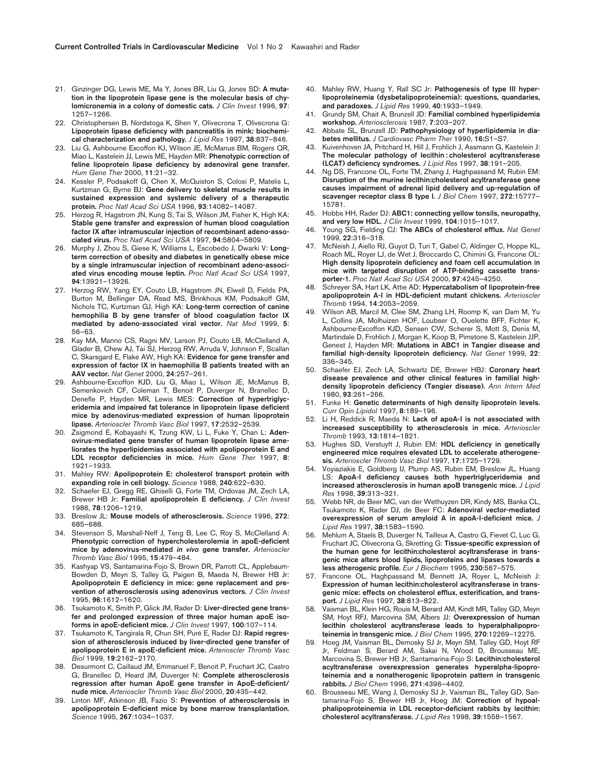- 21. Ginzinger DG, Lewis ME, Ma Y, Jones BR, Liu G, Jones SD: **A mutation in the lipoprotein lipase gene is the molecular basis of chylomicronemia in a colony of domestic cats.** *J Clin Invest* 1996, **97**: 1257–1266.
- 22. Christophersen B, Nordstoga K, Shen Y, Olivecrona T, Olivecrona G: **Lipoprotein lipase deficiency with pancreatitis in mink: biochemical characterization and pathology.** *J Lipid Res* 1997, **38**:837–846.
- 23. Liu G, Ashbourne Excoffon KJ, Wilson JE, McManus BM, Rogers QR, Miao L, Kastelein JJ, Lewis ME, Hayden MR: **Phenotypic correction of feline lipoprotein lipase deficiency by adenoviral gene transfer.** *Hum Gene Ther* 2000, **11**:21–32.
- 24. Kessler P, Podsakoff G, Chen X, McQuiston S, Colosi P, Matelis L, Kurtzman G, Byrne BJ: **Gene delivery to skeletal muscle results in sustained expression and systemic delivery of a therapeutic protein.** *Proc Natl Acad Sci USA* 1996, **93**:14082–14087.
- 25. Herzog R, Hagstrom JN, Kung S, Tai S, Wilson JM, Fisher K, High KA: **Stable gene transfer and expression of human blood coagulation factor IX after intramuscular injection of recombinant adeno-associated virus.** *Proc Natl Acad Sci USA* 1997, **94**:5804–5809.
- 26. Murphy J, Zhou S, Giese K, Williams L, Escobedo J, Dwarki V: **Longterm correction of obesity and diabetes in genetically obese mice by a single intramuscular injection of recombinant adeno-associated virus encoding mouse leptin.** *Proc Natl Acad Sci USA* 1997, **94**:13921–13926.
- 27. Herzog RW, Yang EY, Couto LB, Hagstrom JN, Elwell D, Fields PA, Burton M, Bellinger DA, Read MS, Brinkhous KM, Podsakoff GM, Nichols TC, Kurtzman GJ, High KA: **Long-term correction of canine hemophilia B by gene transfer of blood coagulation factor IX mediated by adeno-associated viral vector.** *Nat Med* 1999, **5**: 56–63.
- 28. Kay MA, Manno CS, Ragni MV, Larson PJ, Couto LB, McClelland A, Glader B, Chew AJ, Tai SJ, Herzog RW, Arruda V, Johnson F, Scallan C, Skarsgard E, Flake AW, High KA: **Evidence for gene transfer and expression of factor IX in haemophilia B patients treated with an AAV vector.** *Nat Genet* 2000, **24**:257–261.
- 29. Ashbourne-Excoffon KJD, Liu G, Miao L, Wilson JE, McManus B, Semenkovich CF, Coleman T, Benoit P, Duverger N, Branellec D, Denefle P, Hayden MR, Lewis MES: **Correction of hypertriglyceridemia and impaired fat tolerance in lipoprotein lipase deficient mice by adenovirus-mediated expression of human lipoprotein lipase.** *Arterioscler Thromb Vasc Biol* 1997, **17**:2532–2539.
- 30. Zsigmond E, Kobayashi K, Tzung KW, Li L, Fuke Y, Chan L: **Adenovirus-mediated gene transfer of human lipoprotein lipase ameliorates the hyperlipidemias associated with apolipoprotein E and LDL receptor deficiencies in mice.** *Hum Gene Ther* 1997, **8**: 1921–1933.
- 31. Mahley RW: **Apolipoprotein E: cholesterol transport protein with expanding role in cell biology.** *Science* 1988, **240**:622–630.
- 32. Schaefer EJ, Gregg RE, Ghiselli G, Forte TM, Ordovas JM, Zech LA, Brewer HB Jr: **Familial apolipoprotein E deficiency.** *J Clin Invest* 1986, **78**:1206–1219.
- 33. Breslow JL: **Mouse models of atherosclerosis.** *Science* 1996, **272**: 685–688.
- 34. Stevenson S, Marshall-Neff J, Teng B, Lee C, Roy S, McClelland A: **Phenotypic correction of hypercholesterolemia in apoE-deficient mice by adenovirus-mediated** *in vivo* **gene transfer.** *Arterioscler Thromb Vasc Biol* 1995, **15**:479–484.
- 35. Kashyap VS, Santamarina-Fojo S, Brown DR, Parrott CL, Applebaum-Bowden D, Meyn S, Talley G, Paigen B, Maeda N, Brewer HB Jr: **Apolipoprotein E deficiency in mice: gene replacement and prevention of atherosclerosis using adenovirus vectors.** *J Clin Invest* 1995, **96**:1612–1620.
- 36. Tsukamoto K, Smith P, Glick JM, Rader D: **Liver-directed gene transfer and prolonged expression of three major human apoE isoforms in apoE-deficient mice.** *J Clin Invest* 1997, **100**:107–114.
- 37. Tsukamoto K, Tangirala R, Chun SH, Puré E, Rader DJ: **Rapid regression of atherosclerosis induced by liver-directed gene transfer of apolipoprotein E in apoE-deficient mice.** *Arterioscler Thromb Vasc Biol* 1999, **19**:2162–2170.
- 38. Desurmont C, Caillaud JM, Emmanuel F, Benoit P, Fruchart JC, Castro G, Branellec D, Heard JM, Duverger N: **Complete atherosclerosis regression after human ApoE gene transfer in ApoE-deficient/ nude mice.** *Arterioscler Thromb Vasc Biol* 2000, **20**:435–442.
- 39. Linton MF, Atkinson JB, Fazio S: **Prevention of atherosclerosis in apolipoprotein E-deficient mice by bone marrow transplantation.** *Science* 1995, **267**:1034–1037.
- 40. Mahley RW, Huang Y, Rall SC Jr: **Pathogenesis of type III hyperlipoproteinemia (dysbetalipoproteinemia): questions, quandaries, and paradoxes.** *J Lipid Res* 1999, **40**:1933–1949.
- 41. Grundy SM, Chait A, Brunzell JD: **Familial combined hyperlipidemia workshop.** *Arteriosclerosis* 1987, **7**:203–207.
- 42. Abbate SL, Brunzell JD: **Pathophysiology of hyperlipidemia in diabetes mellitus.** *J Cardiovasc Pharm Ther* 1990, **16:**S1–S7.
- 43. Kuivenhoven JA, Pritchard H, Hill J, Frohlich J, Assmann G, Kastelein J: **The molecular pathology of lecithin : cholesterol acyltransferase (LCAT) deficiency syndromes.** *J Lipid Res* 1997, **38**:191–205.
- 44. Ng DS, Francone OL, Forte TM, Zhang J, Haghpassand M, Rubin EM: **Disruption of the murine lecithin:cholesterol acyltransferase gene causes impairment of adrenal lipid delivery and up-regulation of scavenger receptor class B type I.** *J Biol Chem* 1997, **272**:15777– 15781.
- 45. Hobbs HH, Rader DJ: **ABC1: connecting yellow tonsils, neuropathy, and very low HDL.** *J Clin Invest* 1999, **104**:1015–1017.
- 46. Young SG, Fielding CJ: **The ABCs of cholesterol efflux.** *Nat Genet* 1999, **22**:316–318.
- 47. McNeish J, Aiello RJ, Guyot D, Turi T, Gabel C, Aldinger C, Hoppe KL, Roach ML, Royer LJ, de Wet J, Broccardo C, Chimini G, Francone OL: **High density lipoprotein deficiency and foam cell accumulation in mice with targeted disruption of ATP-binding cassette transporter-1.** *Proc Natl Acad Sci USA* 2000, **97**:4245–4250.
- 48. Schreyer SA, Hart LK, Attie AD: **Hypercatabolism of lipoprotein-free apolipoprotein A-I in HDL-deficient mutant chickens.** *Arterioscler Thromb* 1994, **14**:2053–2059.
- 49. Wilson AB, Marcil M, Clee SM, Zhang LH, Roomp K, van Dam M, Yu L, Collins JA, Molhuizen HOF, Loubser O, Ouelette BFF, Fichter K, Ashbourne-Excoffon KJD, Sensen CW, Scherer S, Mott S, Denis M, Martindale D, Frohlich J, Morgan K, Koop B, Pimstone S, Kastelein JJP, Genest J, Hayden MR: **Mutations in ABC1 in Tangier disease and familial high-density lipoprotein deficiency.** *Nat Genet* 1999, **22**: 336–345.
- 50. Schaefer EJ, Zech LA, Schwartz DE, Brewer HBJ: **Coronary heart disease prevalence and other clinical features in familial highdensity lipoprotein deficiency (Tangier disease).** *Ann Intern Med* 1980, **93**:261–266.
- 51. Funke H: **Genetic determinants of high density lipoprotein levels.** *Curr Opin Lipidol* 1997, **8**:189–196.
- 52. Li H, Reddick R, Maeda N: **Lack of apoA-I is not associated with increased susceptibility to atherosclerosis in mice.** *Arterioscler Thromb* 1993, **13**:1814–1821.
- 53. Hughes SD, Verstuyft J, Rubin EM: **HDL deficiency in genetically engineered mice requires elevated LDL to accelerate atherogenesis.** *Arterioscler Thromb Vasc Biol* 1997, **17**:1725–1729.
- 54. Voyiaziakis E, Goldberg IJ, Plump AS, Rubin EM, Breslow JL, Huang LS: **ApoA-I deficiency causes both hypertriglyceridemia and increased atherosclerosis in human apoB transgenic mice.** *J Lipid Res* 1998, **39**:313–321.
- 55. Webb NR, de Beer MC, van der Wethuyzen DR, Kindy MS, Banka CL, Tsukamoto K, Rader DJ, de Beer FC: **Adenoviral vector-mediated overexpression of serum amyloid A in apoA-I-deficient mice.** *J Lipid Res* 1997, **38**:1583–1590.
- 56. Mehlum A, Staels B, Duverger N, Tailleux A, Castro G, Fievet C, Luc G, Fruchart JC, Olivecrona G, Skretting G: **Tissue-specific expression of the human gene for lecithin:cholesterol acyltransferase in transgenic mice alters blood lipids, lipoproteins and lipases towards a less atherogenic profile.** *Eur J Biochem* 1995, **230**:567–575.
- 57. Francone OL, Haghpassand M, Bennett JA, Royer L, McNeish J: **Expression of human lecithin:cholesterol acyltransferase in transgenic mice: effects on cholesterol efflux, esterification, and transport.** *J Lipid Res* 1997, **38**:813–822.
- 58. Vaisman BL, Klein HG, Rouis M, Berard AM, Kindt MR, Talley GD, Meyn SM, Hoyt RFJ, Marcovina SM, Albers JJ: **Overexpression of human lecithin cholesterol acyltransferase leads to hyperalphalipoproteinemia in transgenic mice.** *J Biol Chem* 1995, **270**:12269–12275.
- 59. Hoeg JM, Vaisman BL, Demosky SJ Jr, Meyn SM, Talley GD, Hoyt RF Jr, Feldman S, Berard AM, Sakai N, Wood D, Brousseau ME, Marcovina S, Brewer HB Jr, Santamarina-Fojo S: **Lecithin:cholesterol acyltransferase overexpression generates hyperalpha-lipoproteinemia and a nonatherogenic lipoprotein pattern in transgenic rabbits.** *J Biol Chem* 1996, **271**:4396–4402.
- 60. Brousseau ME, Wang J, Demosky SJ Jr, Vaisman BL, Talley GD, Santamarina-Fojo S, Brewer HB Jr, Hoeg JM: **Correction of hypoalphalipoproteinemia in LDL receptor-deficient rabbits by lecithin: cholesterol acyltransferase.** *J Lipid Res* 1998, **39**:1558–1567.